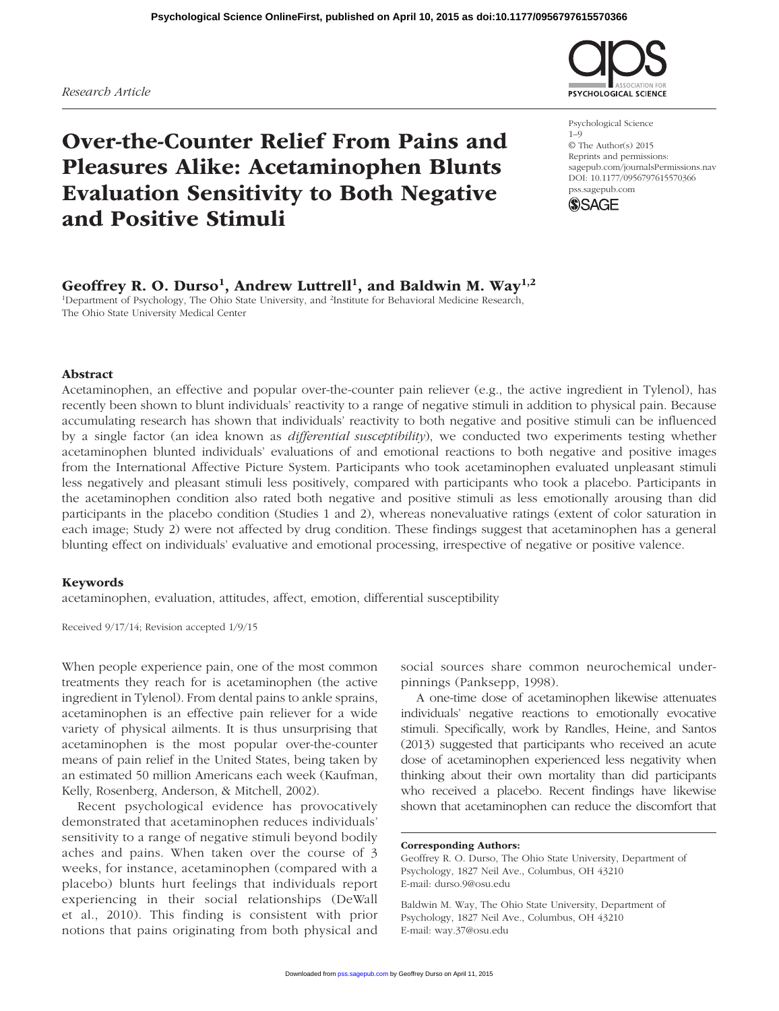*Research Article*

# Over-the-Counter Relief From Pains and Pleasures Alike: Acetaminophen Blunts Evaluation Sensitivity to Both Negative and Positive Stimuli

Psychological Science 1–9 © The Author(s) 2015 Reprints and permissions: sagepub.com/journalsPermissions.nav DOI: 10.1177/0956797615570366 pss.sagepub.com

**PSYCHOLOGICAL SCIENCE** 



Geoffrey R. O. Durso<sup>1</sup>, Andrew Luttrell<sup>1</sup>, and Baldwin M. Way<sup>1,2</sup>

<sup>1</sup>Department of Psychology, The Ohio State University, and <sup>2</sup>Institute for Behavioral Medicine Research, The Ohio State University Medical Center

## Abstract

Acetaminophen, an effective and popular over-the-counter pain reliever (e.g., the active ingredient in Tylenol), has recently been shown to blunt individuals' reactivity to a range of negative stimuli in addition to physical pain. Because accumulating research has shown that individuals' reactivity to both negative and positive stimuli can be influenced by a single factor (an idea known as *differential susceptibility*), we conducted two experiments testing whether acetaminophen blunted individuals' evaluations of and emotional reactions to both negative and positive images from the International Affective Picture System. Participants who took acetaminophen evaluated unpleasant stimuli less negatively and pleasant stimuli less positively, compared with participants who took a placebo. Participants in the acetaminophen condition also rated both negative and positive stimuli as less emotionally arousing than did participants in the placebo condition (Studies 1 and 2), whereas nonevaluative ratings (extent of color saturation in each image; Study 2) were not affected by drug condition. These findings suggest that acetaminophen has a general blunting effect on individuals' evaluative and emotional processing, irrespective of negative or positive valence.

## Keywords

acetaminophen, evaluation, attitudes, affect, emotion, differential susceptibility

Received 9/17/14; Revision accepted 1/9/15

When people experience pain, one of the most common treatments they reach for is acetaminophen (the active ingredient in Tylenol). From dental pains to ankle sprains, acetaminophen is an effective pain reliever for a wide variety of physical ailments. It is thus unsurprising that acetaminophen is the most popular over-the-counter means of pain relief in the United States, being taken by an estimated 50 million Americans each week (Kaufman, Kelly, Rosenberg, Anderson, & Mitchell, 2002).

Recent psychological evidence has provocatively demonstrated that acetaminophen reduces individuals' sensitivity to a range of negative stimuli beyond bodily aches and pains. When taken over the course of 3 weeks, for instance, acetaminophen (compared with a placebo) blunts hurt feelings that individuals report experiencing in their social relationships (DeWall et al., 2010). This finding is consistent with prior notions that pains originating from both physical and social sources share common neurochemical underpinnings (Panksepp, 1998).

A one-time dose of acetaminophen likewise attenuates individuals' negative reactions to emotionally evocative stimuli. Specifically, work by Randles, Heine, and Santos (2013) suggested that participants who received an acute dose of acetaminophen experienced less negativity when thinking about their own mortality than did participants who received a placebo. Recent findings have likewise shown that acetaminophen can reduce the discomfort that

#### Corresponding Authors:

Geoffrey R. O. Durso, The Ohio State University, Department of Psychology, 1827 Neil Ave., Columbus, OH 43210 E-mail: durso.9@osu.edu

Baldwin M. Way, The Ohio State University, Department of Psychology, 1827 Neil Ave., Columbus, OH 43210 E-mail: way.37@osu.edu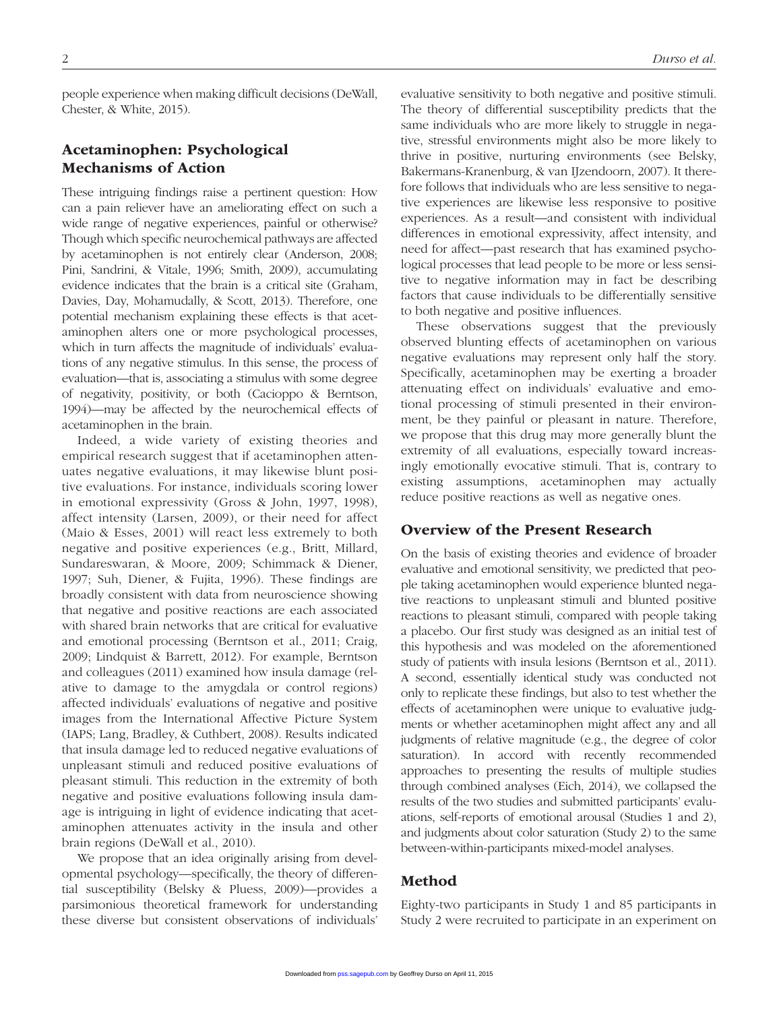people experience when making difficult decisions (DeWall, Chester, & White, 2015).

# Acetaminophen: Psychological Mechanisms of Action

These intriguing findings raise a pertinent question: How can a pain reliever have an ameliorating effect on such a wide range of negative experiences, painful or otherwise? Though which specific neurochemical pathways are affected by acetaminophen is not entirely clear (Anderson, 2008; Pini, Sandrini, & Vitale, 1996; Smith, 2009), accumulating evidence indicates that the brain is a critical site (Graham, Davies, Day, Mohamudally, & Scott, 2013). Therefore, one potential mechanism explaining these effects is that acetaminophen alters one or more psychological processes, which in turn affects the magnitude of individuals' evaluations of any negative stimulus. In this sense, the process of evaluation—that is, associating a stimulus with some degree of negativity, positivity, or both (Cacioppo & Berntson, 1994)—may be affected by the neurochemical effects of acetaminophen in the brain.

Indeed, a wide variety of existing theories and empirical research suggest that if acetaminophen attenuates negative evaluations, it may likewise blunt positive evaluations. For instance, individuals scoring lower in emotional expressivity (Gross & John, 1997, 1998), affect intensity (Larsen, 2009), or their need for affect (Maio & Esses, 2001) will react less extremely to both negative and positive experiences (e.g., Britt, Millard, Sundareswaran, & Moore, 2009; Schimmack & Diener, 1997; Suh, Diener, & Fujita, 1996). These findings are broadly consistent with data from neuroscience showing that negative and positive reactions are each associated with shared brain networks that are critical for evaluative and emotional processing (Berntson et al., 2011; Craig, 2009; Lindquist & Barrett, 2012). For example, Berntson and colleagues (2011) examined how insula damage (relative to damage to the amygdala or control regions) affected individuals' evaluations of negative and positive images from the International Affective Picture System (IAPS; Lang, Bradley, & Cuthbert, 2008). Results indicated that insula damage led to reduced negative evaluations of unpleasant stimuli and reduced positive evaluations of pleasant stimuli. This reduction in the extremity of both negative and positive evaluations following insula damage is intriguing in light of evidence indicating that acetaminophen attenuates activity in the insula and other brain regions (DeWall et al., 2010).

We propose that an idea originally arising from developmental psychology—specifically, the theory of differential susceptibility (Belsky & Pluess, 2009)—provides a parsimonious theoretical framework for understanding these diverse but consistent observations of individuals'

evaluative sensitivity to both negative and positive stimuli. The theory of differential susceptibility predicts that the same individuals who are more likely to struggle in negative, stressful environments might also be more likely to thrive in positive, nurturing environments (see Belsky, Bakermans-Kranenburg, & van IJzendoorn, 2007). It therefore follows that individuals who are less sensitive to negative experiences are likewise less responsive to positive experiences. As a result—and consistent with individual differences in emotional expressivity, affect intensity, and need for affect—past research that has examined psychological processes that lead people to be more or less sensitive to negative information may in fact be describing factors that cause individuals to be differentially sensitive to both negative and positive influences.

These observations suggest that the previously observed blunting effects of acetaminophen on various negative evaluations may represent only half the story. Specifically, acetaminophen may be exerting a broader attenuating effect on individuals' evaluative and emotional processing of stimuli presented in their environment, be they painful or pleasant in nature. Therefore, we propose that this drug may more generally blunt the extremity of all evaluations, especially toward increasingly emotionally evocative stimuli. That is, contrary to existing assumptions, acetaminophen may actually reduce positive reactions as well as negative ones.

# Overview of the Present Research

On the basis of existing theories and evidence of broader evaluative and emotional sensitivity, we predicted that people taking acetaminophen would experience blunted negative reactions to unpleasant stimuli and blunted positive reactions to pleasant stimuli, compared with people taking a placebo. Our first study was designed as an initial test of this hypothesis and was modeled on the aforementioned study of patients with insula lesions (Berntson et al., 2011). A second, essentially identical study was conducted not only to replicate these findings, but also to test whether the effects of acetaminophen were unique to evaluative judgments or whether acetaminophen might affect any and all judgments of relative magnitude (e.g., the degree of color saturation). In accord with recently recommended approaches to presenting the results of multiple studies through combined analyses (Eich, 2014), we collapsed the results of the two studies and submitted participants' evaluations, self-reports of emotional arousal (Studies 1 and 2), and judgments about color saturation (Study 2) to the same between-within-participants mixed-model analyses.

# Method

Eighty-two participants in Study 1 and 85 participants in Study 2 were recruited to participate in an experiment on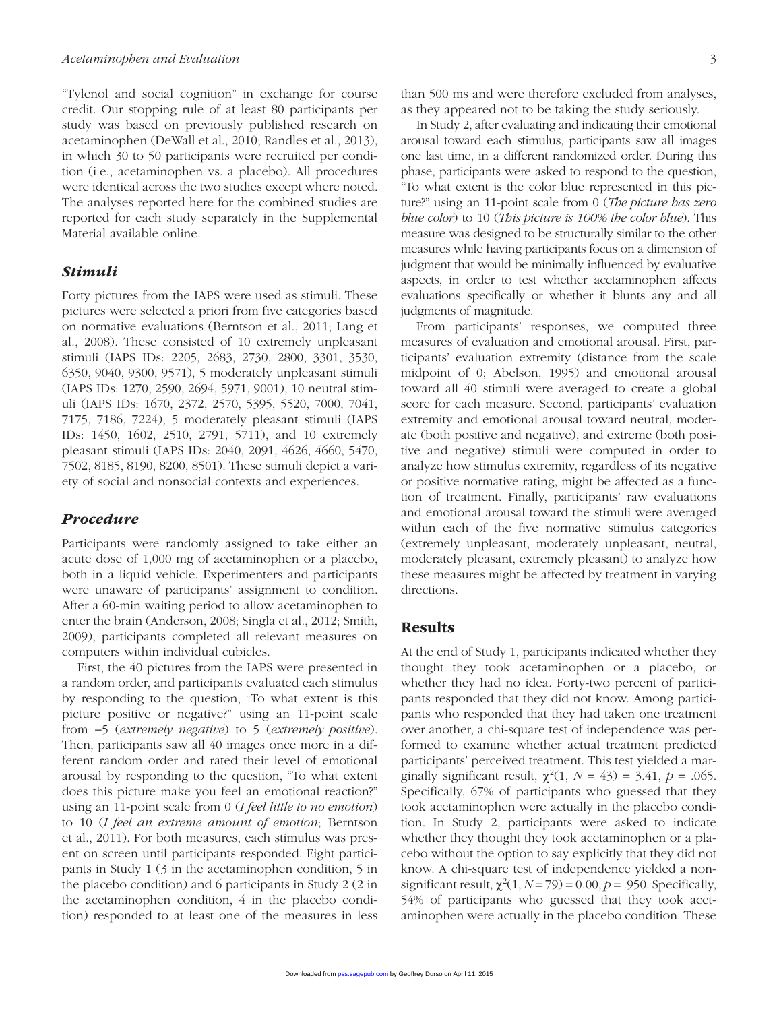"Tylenol and social cognition" in exchange for course credit. Our stopping rule of at least 80 participants per study was based on previously published research on acetaminophen (DeWall et al., 2010; Randles et al., 2013), in which 30 to 50 participants were recruited per condition (i.e., acetaminophen vs. a placebo). All procedures were identical across the two studies except where noted. The analyses reported here for the combined studies are reported for each study separately in the Supplemental Material available online.

## *Stimuli*

Forty pictures from the IAPS were used as stimuli. These pictures were selected a priori from five categories based on normative evaluations (Berntson et al., 2011; Lang et al., 2008). These consisted of 10 extremely unpleasant stimuli (IAPS IDs: 2205, 2683, 2730, 2800, 3301, 3530, 6350, 9040, 9300, 9571), 5 moderately unpleasant stimuli (IAPS IDs: 1270, 2590, 2694, 5971, 9001), 10 neutral stimuli (IAPS IDs: 1670, 2372, 2570, 5395, 5520, 7000, 7041, 7175, 7186, 7224), 5 moderately pleasant stimuli (IAPS IDs: 1450, 1602, 2510, 2791, 5711), and 10 extremely pleasant stimuli (IAPS IDs: 2040, 2091, 4626, 4660, 5470, 7502, 8185, 8190, 8200, 8501). These stimuli depict a variety of social and nonsocial contexts and experiences.

## *Procedure*

Participants were randomly assigned to take either an acute dose of 1,000 mg of acetaminophen or a placebo, both in a liquid vehicle. Experimenters and participants were unaware of participants' assignment to condition. After a 60-min waiting period to allow acetaminophen to enter the brain (Anderson, 2008; Singla et al., 2012; Smith, 2009), participants completed all relevant measures on computers within individual cubicles.

First, the 40 pictures from the IAPS were presented in a random order, and participants evaluated each stimulus by responding to the question, "To what extent is this picture positive or negative?" using an 11-point scale from −5 (*extremely negative*) to 5 (*extremely positive*). Then, participants saw all 40 images once more in a different random order and rated their level of emotional arousal by responding to the question, "To what extent does this picture make you feel an emotional reaction?" using an 11-point scale from 0 (*I feel little to no emotion*) to 10 (*I feel an extreme amount of emotion*; Berntson et al., 2011). For both measures, each stimulus was present on screen until participants responded. Eight participants in Study 1 (3 in the acetaminophen condition, 5 in the placebo condition) and 6 participants in Study 2 (2 in the acetaminophen condition, 4 in the placebo condition) responded to at least one of the measures in less

than 500 ms and were therefore excluded from analyses, as they appeared not to be taking the study seriously.

In Study 2, after evaluating and indicating their emotional arousal toward each stimulus, participants saw all images one last time, in a different randomized order. During this phase, participants were asked to respond to the question, "To what extent is the color blue represented in this picture?" using an 11-point scale from 0 (*The picture has zero blue color*) to 10 (*This picture is 100% the color blue*). This measure was designed to be structurally similar to the other measures while having participants focus on a dimension of judgment that would be minimally influenced by evaluative aspects, in order to test whether acetaminophen affects evaluations specifically or whether it blunts any and all judgments of magnitude.

From participants' responses, we computed three measures of evaluation and emotional arousal. First, participants' evaluation extremity (distance from the scale midpoint of 0; Abelson, 1995) and emotional arousal toward all 40 stimuli were averaged to create a global score for each measure. Second, participants' evaluation extremity and emotional arousal toward neutral, moderate (both positive and negative), and extreme (both positive and negative) stimuli were computed in order to analyze how stimulus extremity, regardless of its negative or positive normative rating, might be affected as a function of treatment. Finally, participants' raw evaluations and emotional arousal toward the stimuli were averaged within each of the five normative stimulus categories (extremely unpleasant, moderately unpleasant, neutral, moderately pleasant, extremely pleasant) to analyze how these measures might be affected by treatment in varying directions.

## **Results**

At the end of Study 1, participants indicated whether they thought they took acetaminophen or a placebo, or whether they had no idea. Forty-two percent of participants responded that they did not know. Among participants who responded that they had taken one treatment over another, a chi-square test of independence was performed to examine whether actual treatment predicted participants' perceived treatment. This test yielded a marginally significant result,  $\chi^2(1, N = 43) = 3.41, p = .065$ . Specifically, 67% of participants who guessed that they took acetaminophen were actually in the placebo condition. In Study 2, participants were asked to indicate whether they thought they took acetaminophen or a placebo without the option to say explicitly that they did not know. A chi-square test of independence yielded a nonsignificant result,  $\chi^2(1, N = 79) = 0.00, p = .950$ . Specifically, 54% of participants who guessed that they took acetaminophen were actually in the placebo condition. These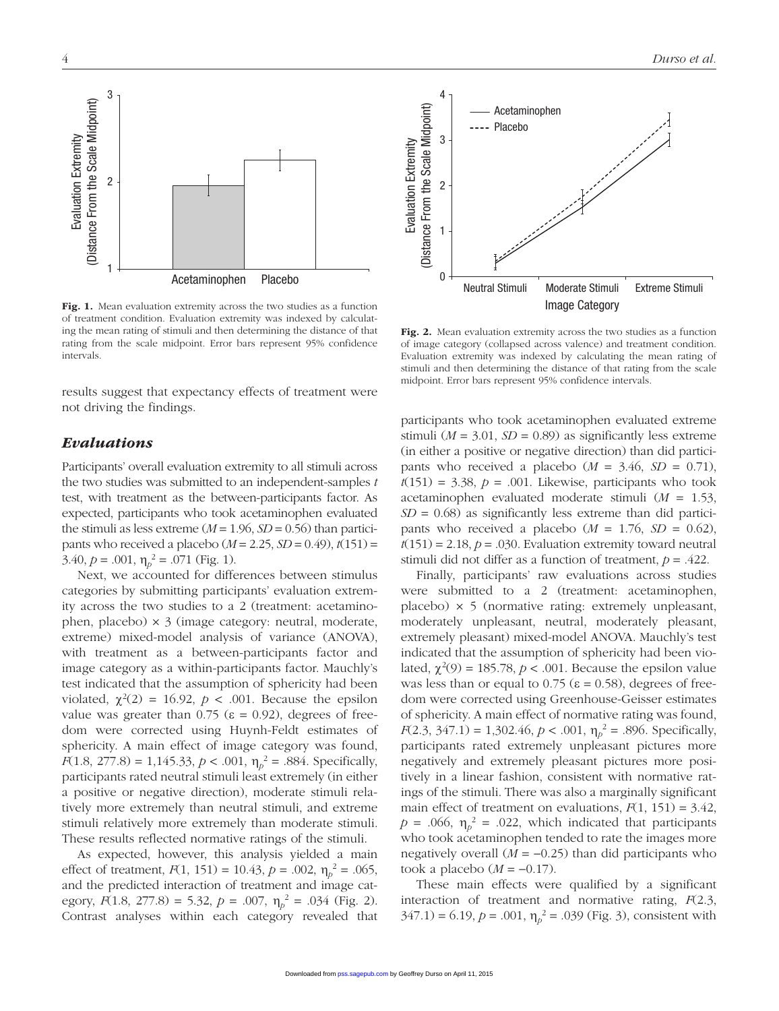

Fig. 1. Mean evaluation extremity across the two studies as a function of treatment condition. Evaluation extremity was indexed by calculating the mean rating of stimuli and then determining the distance of that rating from the scale midpoint. Error bars represent 95% confidence intervals.

results suggest that expectancy effects of treatment were not driving the findings.

# *Evaluations*

Participants' overall evaluation extremity to all stimuli across the two studies was submitted to an independent-samples *t* test, with treatment as the between-participants factor. As expected, participants who took acetaminophen evaluated the stimuli as less extreme  $(M = 1.96, SD = 0.56)$  than participants who received a placebo  $(M = 2.25, SD = 0.49)$ ,  $t(151) =$ 3.40,  $p = .001$ ,  $\eta_p^2 = .071$  (Fig. 1).

Next, we accounted for differences between stimulus categories by submitting participants' evaluation extremity across the two studies to a 2 (treatment: acetaminophen, placebo)  $\times$  3 (image category: neutral, moderate, extreme) mixed-model analysis of variance (ANOVA), with treatment as a between-participants factor and image category as a within-participants factor. Mauchly's test indicated that the assumption of sphericity had been violated,  $\chi^2(2) = 16.92$ ,  $p < .001$ . Because the epsilon value was greater than 0.75 ( $\varepsilon = 0.92$ ), degrees of freedom were corrected using Huynh-Feldt estimates of sphericity. A main effect of image category was found,  $F(1.8, 277.8) = 1,145.33, p < .001, \eta_p^2 = .884.$  Specifically, participants rated neutral stimuli least extremely (in either a positive or negative direction), moderate stimuli relatively more extremely than neutral stimuli, and extreme stimuli relatively more extremely than moderate stimuli. These results reflected normative ratings of the stimuli.

As expected, however, this analysis yielded a main effect of treatment,  $F(1, 151) = 10.43$ ,  $p = .002$ ,  $\eta_p^2 = .065$ , and the predicted interaction of treatment and image category,  $F(1.8, 277.8) = 5.32$ ,  $p = .007$ ,  $\eta_p^2 = .034$  (Fig. 2). Contrast analyses within each category revealed that



Fig. 2. Mean evaluation extremity across the two studies as a function of image category (collapsed across valence) and treatment condition. Evaluation extremity was indexed by calculating the mean rating of stimuli and then determining the distance of that rating from the scale midpoint. Error bars represent 95% confidence intervals.

participants who took acetaminophen evaluated extreme stimuli ( $M = 3.01$ ,  $SD = 0.89$ ) as significantly less extreme (in either a positive or negative direction) than did participants who received a placebo  $(M = 3.46, SD = 0.71)$ ,  $t(151) = 3.38, p = .001$ . Likewise, participants who took acetaminophen evaluated moderate stimuli (*M* = 1.53,  $SD = 0.68$ ) as significantly less extreme than did participants who received a placebo  $(M = 1.76, SD = 0.62)$ ,  $t(151) = 2.18$ ,  $p = .030$ . Evaluation extremity toward neutral stimuli did not differ as a function of treatment, *p* = .422.

Finally, participants' raw evaluations across studies were submitted to a 2 (treatment: acetaminophen, placebo)  $\times$  5 (normative rating: extremely unpleasant, moderately unpleasant, neutral, moderately pleasant, extremely pleasant) mixed-model ANOVA. Mauchly's test indicated that the assumption of sphericity had been violated,  $\chi^2(9) = 185.78$ ,  $p < .001$ . Because the epsilon value was less than or equal to 0.75 ( $\varepsilon$  = 0.58), degrees of freedom were corrected using Greenhouse-Geisser estimates of sphericity. A main effect of normative rating was found, *F*(2.3, 347.1) = 1,302.46, *p* < .001,  $\eta_p^2$  = .896. Specifically, participants rated extremely unpleasant pictures more negatively and extremely pleasant pictures more positively in a linear fashion, consistent with normative ratings of the stimuli. There was also a marginally significant main effect of treatment on evaluations,  $F(1, 151) = 3.42$ ,  $p = .066$ ,  $\eta_p^2 = .022$ , which indicated that participants who took acetaminophen tended to rate the images more negatively overall  $(M = -0.25)$  than did participants who took a placebo  $(M = -0.17)$ .

These main effects were qualified by a significant interaction of treatment and normative rating, *F*(2.3,  $347.1$ ) = 6.19,  $p = .001$ ,  $\eta_p^2 = .039$  (Fig. 3), consistent with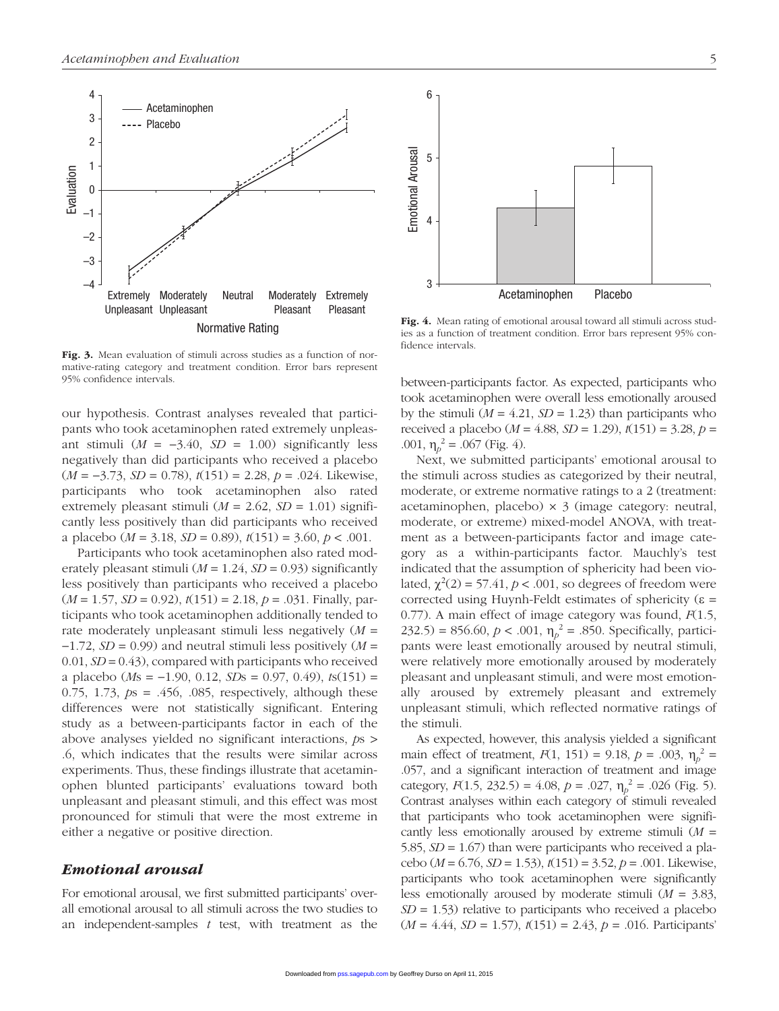

Fig. 3. Mean evaluation of stimuli across studies as a function of normative-rating category and treatment condition. Error bars represent 95% confidence intervals.

our hypothesis. Contrast analyses revealed that participants who took acetaminophen rated extremely unpleasant stimuli ( $M = -3.40$ ,  $SD = 1.00$ ) significantly less negatively than did participants who received a placebo (*M* = −3.73, *SD* = 0.78), *t*(151) = 2.28, *p* = .024. Likewise, participants who took acetaminophen also rated extremely pleasant stimuli ( $M = 2.62$ ,  $SD = 1.01$ ) significantly less positively than did participants who received a placebo (*M* = 3.18, *SD* = 0.89), *t*(151) = 3.60, *p* < .001.

Participants who took acetaminophen also rated moderately pleasant stimuli (*M* = 1.24, *SD* = 0.93) significantly less positively than participants who received a placebo (*M* = 1.57, *SD* = 0.92), *t*(151) = 2.18, *p* = .031. Finally, participants who took acetaminophen additionally tended to rate moderately unpleasant stimuli less negatively (*M* = −1.72, *SD* = 0.99) and neutral stimuli less positively (*M* = 0.01, *SD* = 0.43), compared with participants who received a placebo (*M*s = −1.90, 0.12, *SD*s = 0.97, 0.49), *t*s(151) = 0.75, 1.73, *p*s = .456, .085, respectively, although these differences were not statistically significant. Entering study as a between-participants factor in each of the above analyses yielded no significant interactions, *p*s > .6, which indicates that the results were similar across experiments. Thus, these findings illustrate that acetaminophen blunted participants' evaluations toward both unpleasant and pleasant stimuli, and this effect was most pronounced for stimuli that were the most extreme in either a negative or positive direction.

# *Emotional arousal*

For emotional arousal, we first submitted participants' overall emotional arousal to all stimuli across the two studies to an independent-samples *t* test, with treatment as the



Fig. 4. Mean rating of emotional arousal toward all stimuli across studies as a function of treatment condition. Error bars represent 95% confidence intervals.

between-participants factor. As expected, participants who took acetaminophen were overall less emotionally aroused by the stimuli  $(M = 4.21, SD = 1.23)$  than participants who received a placebo (*M* = 4.88, *SD* = 1.29), *t*(151) = 3.28, *p* = .001,  $\eta_p^2 = .067$  (Fig. 4).

Next, we submitted participants' emotional arousal to the stimuli across studies as categorized by their neutral, moderate, or extreme normative ratings to a 2 (treatment: acetaminophen, placebo) × 3 (image category: neutral, moderate, or extreme) mixed-model ANOVA, with treatment as a between-participants factor and image category as a within-participants factor. Mauchly's test indicated that the assumption of sphericity had been violated,  $\chi^2(2) = 57.41, p < .001$ , so degrees of freedom were corrected using Huynh-Feldt estimates of sphericity (ε = 0.77). A main effect of image category was found, *F*(1.5,  $232.5$  = 856.60,  $p < .001$ ,  $\eta_p^2 = .850$ . Specifically, participants were least emotionally aroused by neutral stimuli, were relatively more emotionally aroused by moderately pleasant and unpleasant stimuli, and were most emotionally aroused by extremely pleasant and extremely unpleasant stimuli, which reflected normative ratings of the stimuli.

As expected, however, this analysis yielded a significant main effect of treatment,  $F(1, 151) = 9.18$ ,  $p = .003$ ,  $\eta_p^2 =$ .057, and a significant interaction of treatment and image category,  $F(1.5, 232.5) = 4.08$ ,  $p = .027$ ,  $\eta_p^2 = .026$  (Fig. 5). Contrast analyses within each category of stimuli revealed that participants who took acetaminophen were significantly less emotionally aroused by extreme stimuli (*M* = 5.85, *SD* = 1.67) than were participants who received a placebo (*M* = 6.76, *SD* = 1.53), *t*(151) = 3.52, *p* = .001. Likewise, participants who took acetaminophen were significantly less emotionally aroused by moderate stimuli (*M* = 3.83, *SD* = 1.53) relative to participants who received a placebo (*M* = 4.44, *SD* = 1.57), *t*(151) = 2.43, *p* = .016. Participants'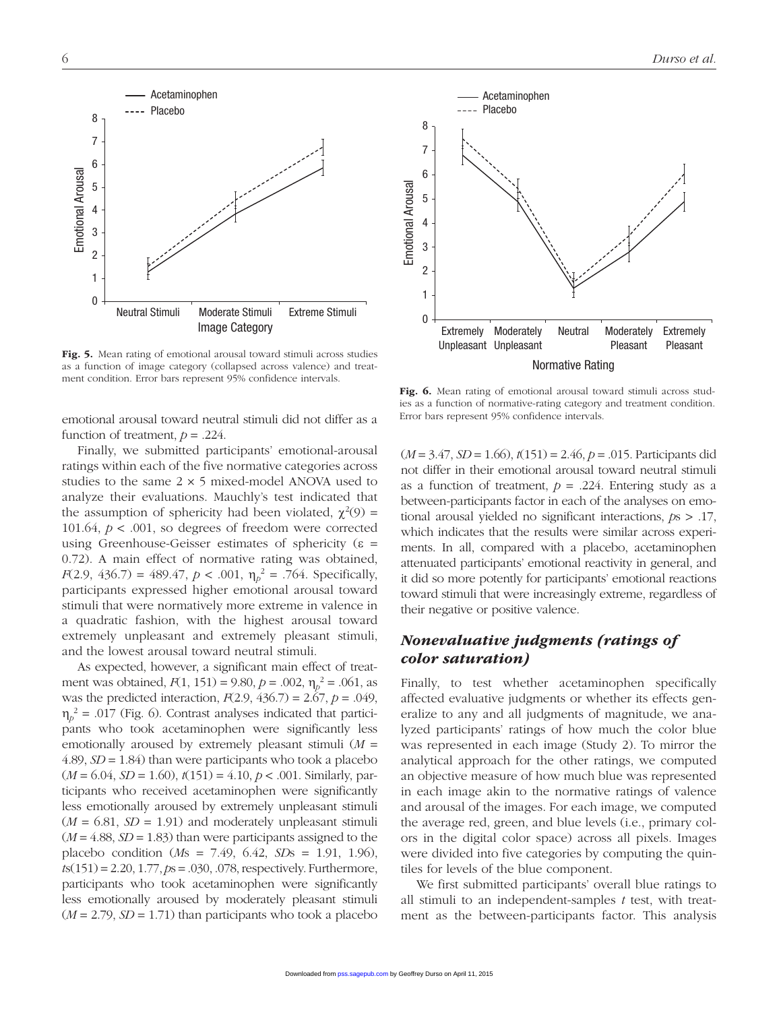

Fig. 5. Mean rating of emotional arousal toward stimuli across studies as a function of image category (collapsed across valence) and treatment condition. Error bars represent 95% confidence intervals.

emotional arousal toward neutral stimuli did not differ as a function of treatment,  $p = .224$ .

Finally, we submitted participants' emotional-arousal ratings within each of the five normative categories across studies to the same  $2 \times 5$  mixed-model ANOVA used to analyze their evaluations. Mauchly's test indicated that the assumption of sphericity had been violated,  $\chi^2(9)$  = 101.64, *p* < .001, so degrees of freedom were corrected using Greenhouse-Geisser estimates of sphericity ( $\varepsilon$  = 0.72). A main effect of normative rating was obtained, *F*(2.9, 436.7) = 489.47, *p* < .001,  $\eta_p^2$  = .764. Specifically, participants expressed higher emotional arousal toward stimuli that were normatively more extreme in valence in a quadratic fashion, with the highest arousal toward extremely unpleasant and extremely pleasant stimuli, and the lowest arousal toward neutral stimuli.

As expected, however, a significant main effect of treatment was obtained,  $F(1, 151) = 9.80$ ,  $p = .002$ ,  $\eta_p^2 = .061$ , as was the predicted interaction, *F*(2.9, 436.7) = 2.67, *p* = .049,  $\eta_p^2$  = .017 (Fig. 6). Contrast analyses indicated that participants who took acetaminophen were significantly less emotionally aroused by extremely pleasant stimuli (*M* = 4.89, *SD* = 1.84) than were participants who took a placebo (*M* = 6.04, *SD* = 1.60), *t*(151) = 4.10, *p* < .001. Similarly, participants who received acetaminophen were significantly less emotionally aroused by extremely unpleasant stimuli  $(M = 6.81, SD = 1.91)$  and moderately unpleasant stimuli  $(M = 4.88, SD = 1.83)$  than were participants assigned to the placebo condition (*M*s = 7.49, 6.42, *SD*s = 1.91, 1.96), *t*s(151) = 2.20, 1.77, *p*s = .030, .078, respectively. Furthermore, participants who took acetaminophen were significantly less emotionally aroused by moderately pleasant stimuli  $(M = 2.79, SD = 1.71)$  than participants who took a placebo



Fig. 6. Mean rating of emotional arousal toward stimuli across studies as a function of normative-rating category and treatment condition. Error bars represent 95% confidence intervals.

(*M* = 3.47, *SD* = 1.66), *t*(151) = 2.46, *p* = .015. Participants did not differ in their emotional arousal toward neutral stimuli as a function of treatment,  $p = .224$ . Entering study as a between-participants factor in each of the analyses on emotional arousal yielded no significant interactions, *p*s > .17, which indicates that the results were similar across experiments. In all, compared with a placebo, acetaminophen attenuated participants' emotional reactivity in general, and it did so more potently for participants' emotional reactions toward stimuli that were increasingly extreme, regardless of their negative or positive valence.

# *Nonevaluative judgments (ratings of color saturation)*

Finally, to test whether acetaminophen specifically affected evaluative judgments or whether its effects generalize to any and all judgments of magnitude, we analyzed participants' ratings of how much the color blue was represented in each image (Study 2). To mirror the analytical approach for the other ratings, we computed an objective measure of how much blue was represented in each image akin to the normative ratings of valence and arousal of the images. For each image, we computed the average red, green, and blue levels (i.e., primary colors in the digital color space) across all pixels. Images were divided into five categories by computing the quintiles for levels of the blue component.

We first submitted participants' overall blue ratings to all stimuli to an independent-samples *t* test, with treatment as the between-participants factor. This analysis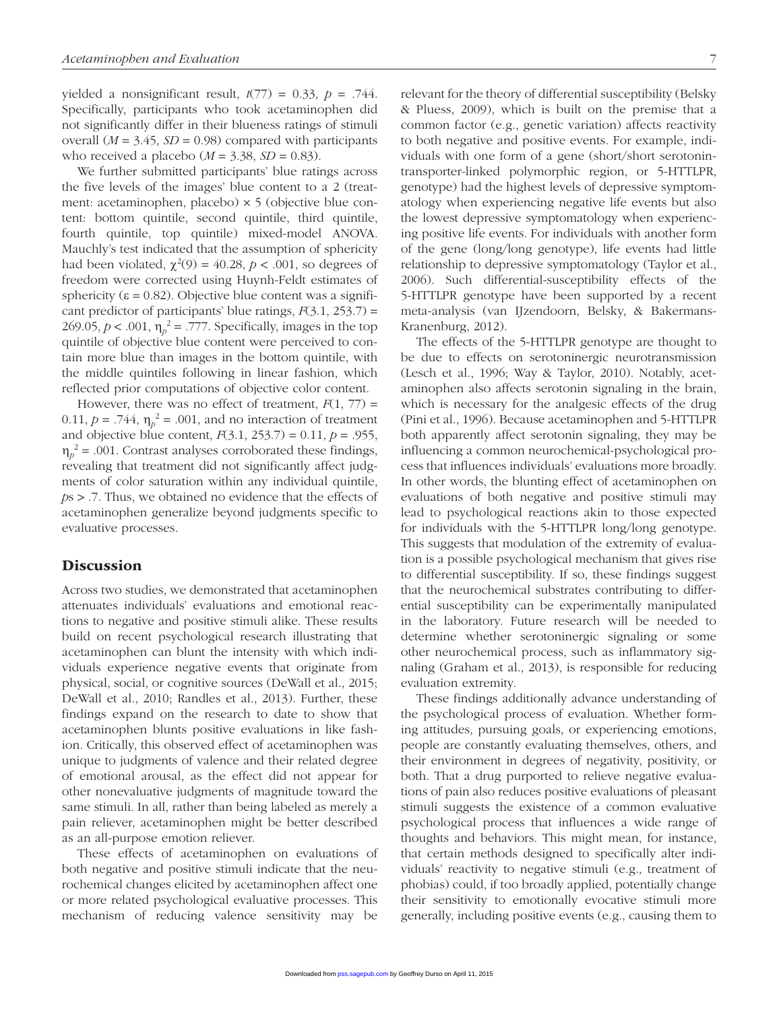yielded a nonsignificant result,  $t(77) = 0.33$ ,  $p = .744$ . Specifically, participants who took acetaminophen did not significantly differ in their blueness ratings of stimuli overall  $(M = 3.45, SD = 0.98)$  compared with participants who received a placebo  $(M = 3.38, SD = 0.83)$ .

We further submitted participants' blue ratings across the five levels of the images' blue content to a 2 (treatment: acetaminophen, placebo)  $\times$  5 (objective blue content: bottom quintile, second quintile, third quintile, fourth quintile, top quintile) mixed-model ANOVA. Mauchly's test indicated that the assumption of sphericity had been violated,  $\chi^2(9) = 40.28$ ,  $p < .001$ , so degrees of freedom were corrected using Huynh-Feldt estimates of sphericity ( $\varepsilon$  = 0.82). Objective blue content was a significant predictor of participants' blue ratings,  $F(3.1, 253.7) =$ 269.05,  $p < .001$ ,  $\eta_p^2 = .777$ . Specifically, images in the top quintile of objective blue content were perceived to contain more blue than images in the bottom quintile, with the middle quintiles following in linear fashion, which reflected prior computations of objective color content.

However, there was no effect of treatment,  $F(1, 77) =$ 0.11,  $p = .744$ ,  $\eta_p^2 = .001$ , and no interaction of treatment and objective blue content, *F*(3.1, 253.7) = 0.11, *p* = .955,  $\eta_p^2$  = .001. Contrast analyses corroborated these findings, revealing that treatment did not significantly affect judgments of color saturation within any individual quintile, *p*s > .7. Thus, we obtained no evidence that the effects of acetaminophen generalize beyond judgments specific to evaluative processes.

## **Discussion**

Across two studies, we demonstrated that acetaminophen attenuates individuals' evaluations and emotional reactions to negative and positive stimuli alike. These results build on recent psychological research illustrating that acetaminophen can blunt the intensity with which individuals experience negative events that originate from physical, social, or cognitive sources (DeWall et al., 2015; DeWall et al., 2010; Randles et al., 2013). Further, these findings expand on the research to date to show that acetaminophen blunts positive evaluations in like fashion. Critically, this observed effect of acetaminophen was unique to judgments of valence and their related degree of emotional arousal, as the effect did not appear for other nonevaluative judgments of magnitude toward the same stimuli. In all, rather than being labeled as merely a pain reliever, acetaminophen might be better described as an all-purpose emotion reliever.

These effects of acetaminophen on evaluations of both negative and positive stimuli indicate that the neurochemical changes elicited by acetaminophen affect one or more related psychological evaluative processes. This mechanism of reducing valence sensitivity may be relevant for the theory of differential susceptibility (Belsky & Pluess, 2009), which is built on the premise that a common factor (e.g., genetic variation) affects reactivity to both negative and positive events. For example, individuals with one form of a gene (short/short serotonintransporter-linked polymorphic region, or 5-HTTLPR, genotype) had the highest levels of depressive symptomatology when experiencing negative life events but also the lowest depressive symptomatology when experiencing positive life events. For individuals with another form of the gene (long/long genotype), life events had little relationship to depressive symptomatology (Taylor et al., 2006). Such differential-susceptibility effects of the 5-HTTLPR genotype have been supported by a recent meta-analysis (van IJzendoorn, Belsky, & Bakermans-Kranenburg, 2012).

The effects of the 5-HTTLPR genotype are thought to be due to effects on serotoninergic neurotransmission (Lesch et al., 1996; Way & Taylor, 2010). Notably, acetaminophen also affects serotonin signaling in the brain, which is necessary for the analgesic effects of the drug (Pini et al., 1996). Because acetaminophen and 5-HTTLPR both apparently affect serotonin signaling, they may be influencing a common neurochemical-psychological process that influences individuals' evaluations more broadly. In other words, the blunting effect of acetaminophen on evaluations of both negative and positive stimuli may lead to psychological reactions akin to those expected for individuals with the 5-HTTLPR long/long genotype. This suggests that modulation of the extremity of evaluation is a possible psychological mechanism that gives rise to differential susceptibility. If so, these findings suggest that the neurochemical substrates contributing to differential susceptibility can be experimentally manipulated in the laboratory. Future research will be needed to determine whether serotoninergic signaling or some other neurochemical process, such as inflammatory signaling (Graham et al., 2013), is responsible for reducing evaluation extremity.

These findings additionally advance understanding of the psychological process of evaluation. Whether forming attitudes, pursuing goals, or experiencing emotions, people are constantly evaluating themselves, others, and their environment in degrees of negativity, positivity, or both. That a drug purported to relieve negative evaluations of pain also reduces positive evaluations of pleasant stimuli suggests the existence of a common evaluative psychological process that influences a wide range of thoughts and behaviors. This might mean, for instance, that certain methods designed to specifically alter individuals' reactivity to negative stimuli (e.g., treatment of phobias) could, if too broadly applied, potentially change their sensitivity to emotionally evocative stimuli more generally, including positive events (e.g., causing them to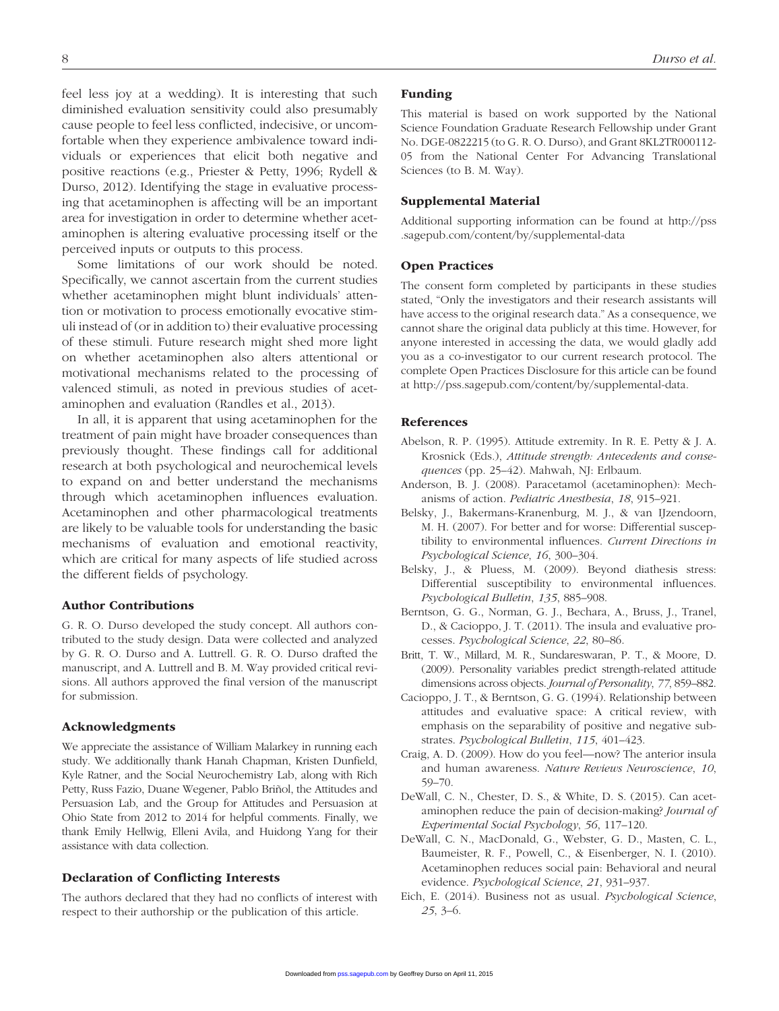feel less joy at a wedding). It is interesting that such diminished evaluation sensitivity could also presumably cause people to feel less conflicted, indecisive, or uncomfortable when they experience ambivalence toward individuals or experiences that elicit both negative and positive reactions (e.g., Priester & Petty, 1996; Rydell & Durso, 2012). Identifying the stage in evaluative processing that acetaminophen is affecting will be an important area for investigation in order to determine whether acetaminophen is altering evaluative processing itself or the perceived inputs or outputs to this process.

Some limitations of our work should be noted. Specifically, we cannot ascertain from the current studies whether acetaminophen might blunt individuals' attention or motivation to process emotionally evocative stimuli instead of (or in addition to) their evaluative processing of these stimuli. Future research might shed more light on whether acetaminophen also alters attentional or motivational mechanisms related to the processing of valenced stimuli, as noted in previous studies of acetaminophen and evaluation (Randles et al., 2013).

In all, it is apparent that using acetaminophen for the treatment of pain might have broader consequences than previously thought. These findings call for additional research at both psychological and neurochemical levels to expand on and better understand the mechanisms through which acetaminophen influences evaluation. Acetaminophen and other pharmacological treatments are likely to be valuable tools for understanding the basic mechanisms of evaluation and emotional reactivity, which are critical for many aspects of life studied across the different fields of psychology.

## Author Contributions

G. R. O. Durso developed the study concept. All authors contributed to the study design. Data were collected and analyzed by G. R. O. Durso and A. Luttrell. G. R. O. Durso drafted the manuscript, and A. Luttrell and B. M. Way provided critical revisions. All authors approved the final version of the manuscript for submission.

## Acknowledgments

We appreciate the assistance of William Malarkey in running each study. We additionally thank Hanah Chapman, Kristen Dunfield, Kyle Ratner, and the Social Neurochemistry Lab, along with Rich Petty, Russ Fazio, Duane Wegener, Pablo Briñol, the Attitudes and Persuasion Lab, and the Group for Attitudes and Persuasion at Ohio State from 2012 to 2014 for helpful comments. Finally, we thank Emily Hellwig, Elleni Avila, and Huidong Yang for their assistance with data collection.

#### Declaration of Conflicting Interests

The authors declared that they had no conflicts of interest with respect to their authorship or the publication of this article.

## Funding

This material is based on work supported by the National Science Foundation Graduate Research Fellowship under Grant No. DGE-0822215 (to G. R. O. Durso), and Grant 8KL2TR000112- 05 from the National Center For Advancing Translational Sciences (to B. M. Way).

#### Supplemental Material

Additional supporting information can be found at http://pss .sagepub.com/content/by/supplemental-data

#### Open Practices

The consent form completed by participants in these studies stated, "Only the investigators and their research assistants will have access to the original research data." As a consequence, we cannot share the original data publicly at this time. However, for anyone interested in accessing the data, we would gladly add you as a co-investigator to our current research protocol. The complete Open Practices Disclosure for this article can be found at http://pss.sagepub.com/content/by/supplemental-data.

## References

- Abelson, R. P. (1995). Attitude extremity. In R. E. Petty & J. A. Krosnick (Eds.), *Attitude strength: Antecedents and consequences* (pp. 25–42). Mahwah, NJ: Erlbaum.
- Anderson, B. J. (2008). Paracetamol (acetaminophen): Mechanisms of action. *Pediatric Anesthesia*, *18*, 915–921.
- Belsky, J., Bakermans-Kranenburg, M. J., & van IJzendoorn, M. H. (2007). For better and for worse: Differential susceptibility to environmental influences. *Current Directions in Psychological Science*, *16*, 300–304.
- Belsky, J., & Pluess, M. (2009). Beyond diathesis stress: Differential susceptibility to environmental influences. *Psychological Bulletin*, *135*, 885–908.
- Berntson, G. G., Norman, G. J., Bechara, A., Bruss, J., Tranel, D., & Cacioppo, J. T. (2011). The insula and evaluative processes. *Psychological Science*, *22*, 80–86.
- Britt, T. W., Millard, M. R., Sundareswaran, P. T., & Moore, D. (2009). Personality variables predict strength-related attitude dimensions across objects. *Journal of Personality*, *77*, 859–882.
- Cacioppo, J. T., & Berntson, G. G. (1994). Relationship between attitudes and evaluative space: A critical review, with emphasis on the separability of positive and negative substrates. *Psychological Bulletin*, *115*, 401–423.
- Craig, A. D. (2009). How do you feel—now? The anterior insula and human awareness. *Nature Reviews Neuroscience*, *10*, 59–70.
- DeWall, C. N., Chester, D. S., & White, D. S. (2015). Can acetaminophen reduce the pain of decision-making? *Journal of Experimental Social Psychology*, *56*, 117–120.
- DeWall, C. N., MacDonald, G., Webster, G. D., Masten, C. L., Baumeister, R. F., Powell, C., & Eisenberger, N. I. (2010). Acetaminophen reduces social pain: Behavioral and neural evidence. *Psychological Science*, *21*, 931–937.
- Eich, E. (2014). Business not as usual. *Psychological Science*, *25*, 3–6.